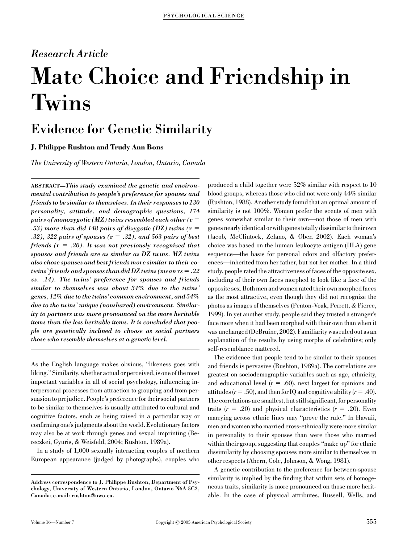### Research Article

# Mate Choice and Friendship in Twins

## Evidence for Genetic Similarity

#### J. Philippe Rushton and Trudy Ann Bons

The University of Western Ontario, London, Ontario, Canada

ABSTRACT—This study examined the genetic and environmental contribution to people's preference for spouses and friends to be similar to themselves. In their responses to 130 personality, attitude, and demographic questions, 174 pairs of monozygotic (MZ) twins resembled each other ( $r =$ .53) more than did 148 pairs of dizygotic (DZ) twins  $(r =$ .32), 322 pairs of spouses  $(r = .32)$ , and 563 pairs of best friends ( $r = .20$ ). It was not previously recognized that spouses and friends are as similar as DZ twins. MZ twins also chose spouses and best friends more similar to their cotwins' friends and spouses than did DZ twins (mean  $rs = .22$ ) vs. .14). The twins' preference for spouses and friends similar to themselves was about 34% due to the twins' genes, 12% due to the twins' common environment, and 54% due to the twins' unique (nonshared) environment. Similarity to partners was more pronounced on the more heritable items than the less heritable items. It is concluded that people are genetically inclined to choose as social partners those who resemble themselves at a genetic level.

As the English language makes obvious, ''likeness goes with liking.'' Similarity, whether actual or perceived, is one of the most important variables in all of social psychology, influencing interpersonal processes from attraction to grouping and from persuasion to prejudice. People's preference for their social partners to be similar to themselves is usually attributed to cultural and cognitive factors, such as being raised in a particular way or confirming one's judgments about the world. Evolutionary factors may also be at work through genes and sexual imprinting (Bereczkei, Gyuris, & Weisfeld, 2004; Rushton, 1989a).

In a study of 1,000 sexually interacting couples of northern European appearance (judged by photographs), couples who produced a child together were 52% similar with respect to 10 blood groups, whereas those who did not were only 44% similar (Rushton, 1988). Another study found that an optimal amount of similarity is not 100%. Women prefer the scents of men with genes somewhat similar to their own—not those of men with genes nearly identical or with genes totally dissimilar to their own (Jacob, McClintock, Zelano, & Ober, 2002). Each woman's choice was based on the human leukocyte antigen (HLA) gene sequence—the basis for personal odors and olfactory preferences—inherited from her father, but not her mother. In a third study, people rated the attractiveness of faces of the opposite sex, including of their own faces morphed to look like a face of the opposite sex. Both men and women rated their own morphed faces as the most attractive, even though they did not recognize the photos as images of themselves (Penton-Voak, Perrett, & Pierce, 1999). In yet another study, people said they trusted a stranger's face more when it had been morphed with their own than when it was unchanged (DeBruine, 2002). Familiarity was ruled out as an explanation of the results by using morphs of celebrities; only self-resemblance mattered.

The evidence that people tend to be similar to their spouses and friends is pervasive (Rushton, 1989a). The correlations are greatest on sociodemographic variables such as age, ethnicity, and educational level  $(r = .60)$ , next largest for opinions and attitudes ( $r = .50$ ), and then for IQ and cognitive ability ( $r = .40$ ). The correlations are smallest, but still significant, for personality traits  $(r = .20)$  and physical characteristics  $(r = .20)$ . Even marrying across ethnic lines may ''prove the rule.'' In Hawaii, men and women who married cross-ethnically were more similar in personality to their spouses than were those who married within their group, suggesting that couples "make up" for ethnic dissimilarity by choosing spouses more similar to themselves in other respects (Ahern, Cole, Johnson, & Wong, 1981).

A genetic contribution to the preference for between-spouse similarity is implied by the finding that within sets of homogeneous traits, similarity is more pronounced on those more heritable. In the case of physical attributes, Russell, Wells, and

Address correspondence to J. Philippe Rushton, Department of Psychology, University of Western Ontario, London, Ontario N6A 5C2, Canada; e-mail: rushton@uwo.ca.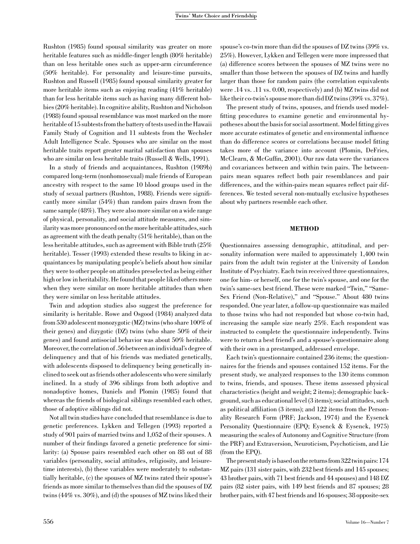Rushton (1985) found spousal similarity was greater on more heritable features such as middle-finger length (80% heritable) than on less heritable ones such as upper-arm circumference (50% heritable). For personality and leisure-time pursuits, Rushton and Russell (1985) found spousal similarity greater for more heritable items such as enjoying reading (41% heritable) than for less heritable items such as having many different hobbies (20% heritable). In cognitive ability, Rushton and Nicholson (1988) found spousal resemblance was most marked on the more heritable of 15 subtests from the battery of tests used in the Hawaii Family Study of Cognition and 11 subtests from the Wechsler Adult Intelligence Scale. Spouses who are similar on the most heritable traits report greater marital satisfaction than spouses who are similar on less heritable traits (Russell & Wells, 1991).

In a study of friends and acquaintances, Rushton (1989b) compared long-term (nonhomosexual) male friends of European ancestry with respect to the same 10 blood groups used in the study of sexual partners (Rushton, 1988). Friends were significantly more similar (54%) than random pairs drawn from the same sample (48%). They were also more similar on a wide range of physical, personality, and social attitude measures, and similarity was more pronounced on the more heritable attitudes, such as agreement with the death penalty (51% heritable), than on the less heritable attitudes, such as agreement with Bible truth (25% heritable). Tesser (1993) extended these results to liking in acquaintances by manipulating people's beliefs about how similar they were to other people on attitudes preselected as being either high or low in heritability. He found that people liked others more when they were similar on more heritable attitudes than when they were similar on less heritable attitudes.

Twin and adoption studies also suggest the preference for similarity is heritable. Rowe and Osgood (1984) analyzed data from 530 adolescent monozygotic (MZ) twins (who share 100% of their genes) and dizygotic (DZ) twins (who share 50% of their genes) and found antisocial behavior was about 50% heritable. Moreover, the correlation of .56 between an individual's degree of delinquency and that of his friends was mediated genetically, with adolescents disposed to delinquency being genetically inclined to seek out as friends other adolescents who were similarly inclined. In a study of 396 siblings from both adoptive and nonadoptive homes, Daniels and Plomin (1985) found that whereas the friends of biological siblings resembled each other, those of adoptive siblings did not.

Not all twin studies have concluded that resemblance is due to genetic preferences. Lykken and Tellegen (1993) reported a study of 901 pairs of married twins and 1,052 of their spouses. A number of their findings favored a genetic preference for similarity: (a) Spouse pairs resembled each other on 88 out of 88 variables (personality, social attitudes, religiosity, and leisuretime interests), (b) these variables were moderately to substantially heritable, (c) the spouses of MZ twins rated their spouse's friends as more similar to themselves than did the spouses of DZ twins (44% vs. 30%), and (d) the spouses of MZ twins liked their

spouse's co-twin more than did the spouses of DZ twins (39% vs. 25%). However, Lykken and Tellegen were more impressed that (a) difference scores between the spouses of MZ twins were no smaller than those between the spouses of DZ twins and hardly larger than those for random pairs (the correlation equivalents were .14 vs. .11 vs. 0.00, respectively) and (b) MZ twins did not like their co-twin's spouse more than did DZ twins (39% vs. 37%).

The present study of twins, spouses, and friends used modelfitting procedures to examine genetic and environmental hypotheses about the basis for social assortment. Model fitting gives more accurate estimates of genetic and environmental influence than do difference scores or correlations because model fitting takes more of the variance into account (Plomin, DeFries, McClearn, & McGuffin, 2001). Our raw data were the variances and covariances between and within twin pairs. The betweenpairs mean squares reflect both pair resemblances and pair differences, and the within-pairs mean squares reflect pair differences. We tested several non-mutually exclusive hypotheses about why partners resemble each other.

#### **METHOD**

Questionnaires assessing demographic, attitudinal, and personality information were mailed to approximately 1,400 twin pairs from the adult twin register at the University of London Institute of Psychiatry. Each twin received three questionnaires, one for him- or herself, one for the twin's spouse, and one for the twin's same-sex best friend. These were marked "Twin," "Same-Sex Friend (Non-Relative)," and "Spouse." About 480 twins responded. One year later, a follow-up questionnaire was mailed to those twins who had not responded but whose co-twin had, increasing the sample size nearly 25%. Each respondent was instructed to complete the questionnaire independently. Twins were to return a best friend's and a spouse's questionnaire along with their own in a prestamped, addressed envelope.

Each twin's questionnaire contained 236 items; the questionnaires for the friends and spouses contained 152 items. For the present study, we analyzed responses to the 130 items common to twins, friends, and spouses. These items assessed physical characteristics (height and weight; 2 items); demographic background, such as educational level (3 items); social attitudes, such as political affiliation (3 items); and 122 items from the Personality Research Form (PRF; Jackson, 1974) and the Eysenck Personality Questionnaire (EPQ; Eysenck & Eysenck, 1975) measuring the scales of Autonomy and Cognitive Structure (from the PRF) and Extraversion, Neuroticism, Psychoticism, and Lie (from the EPQ).

The present study is based on the returns from 322 twin pairs: 174 MZ pairs (131 sister pairs, with 232 best friends and 145 spouses; 43 brother pairs, with 71 best friends and 44 spouses) and 148 DZ pairs (82 sister pairs, with 149 best friends and 87 spouses; 28 brother pairs, with 47 best friends and 16 spouses; 38 opposite-sex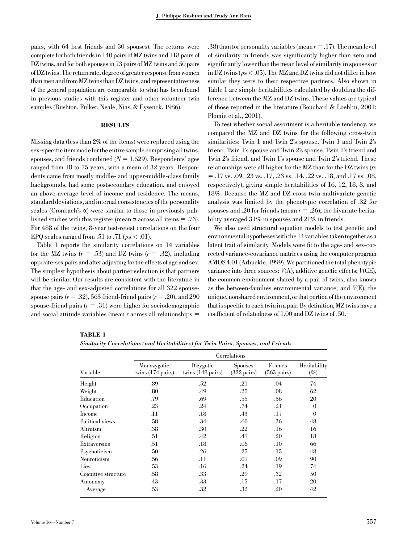pairs, with 64 best friends and 30 spouses). The returns were complete for both friends in 140 pairs of MZ twins and 118 pairs of DZ twins, and for both spouses in 73 pairs of MZ twins and 50 pairs of DZ twins. The return rate, degree of greater response from women than men and from MZ twins than DZ twins, and representativeness of the general population are comparable to what has been found in previous studies with this register and other volunteer twin samples (Rushton, Fulker, Neale, Nias, & Eysenck, 1986).

#### RESULTS

Missing data (less than 2% of the items) were replaced using the sex-specific item mode for the entire sample comprising all twins, spouses, and friends combined  $(N = 1,529)$ . Respondents' ages ranged from 18 to 75 years, with a mean of 32 years. Respondents came from mostly middle- and upper-middle-class family backgrounds, had some postsecondary education, and enjoyed an above-average level of income and residence. The means, standard deviations, and internal consistencies of the personality scales (Cronbach's  $\alpha$ ) were similar to those in previously published studies with this register (mean  $\alpha$  across all items = .73). For 488 of the twins, 8-year test-retest correlations on the four EPQ scales ranged from .51 to .71 ( $p_s < .01$ ).

Table 1 reports the similarity correlations on 14 variables for the MZ twins  $(r = .53)$  and DZ twins  $(r = .32)$ , including opposite-sex pairs and after adjusting for the effects of age and sex. The simplest hypothesis about partner selection is that partners will be similar. Our results are consistent with the literature in that the age- and sex-adjusted correlations for all 322 spousespouse pairs  $(r = .32)$ , 563 friend-friend pairs  $(r = .20)$ , and 290 spouse-friend pairs  $(r = .31)$  were higher for sociodemographic and social attitude variables (mean  $r$  across all relationships  $=$ 

.38) than for personality variables (mean  $r = .17$ ). The mean level of similarity in friends was significantly higher than zero and significantly lower than the mean level of similarity in spouses or in DZ twins (ps < .05). The MZ and DZ twins did not differ in how similar they were to their respective partners. Also shown in Table 1 are simple heritabilities calculated by doubling the difference between the MZ and DZ twins. These values are typical of those reported in the literature (Bouchard & Loehlin, 2001; Plomin et al., 2001).

To test whether social assortment is a heritable tendency, we compared the MZ and DZ twins for the following cross-twin similarities: Twin 1 and Twin 2's spouse, Twin 1 and Twin 2's friend, Twin 1's spouse and Twin 2's spouse, Twin 1's friend and Twin 2's friend, and Twin 1's spouse and Twin 2's friend. These relationships were all higher for the MZ than for the DZ twins (rs  $= .17$  vs.  $.09, .23$  vs.  $.17, .23$  vs.  $.14, .22$  vs.  $.18,$  and  $.17$  vs.  $.08,$ respectively), giving simple heritabilities of 16, 12, 18, 8, and 18%. Because the MZ and DZ cross-twin multivariate genetic analysis was limited by the phenotypic correlation of .32 for spouses and .20 for friends (mean  $r = .26$ ), the bivariate heritability averaged 31% in spouses and 21% in friends.

We also used structural equation models to test genetic and environmental hypotheses with the 14 variables taken together as a latent trait of similarity. Models were fit to the age- and sex-corrected variance-covariance matrices using the computer program AMOS 4.01 (Arbuckle, 1999). We partitioned the total phenotypic variance into three sources:  $V(A)$ , additive genetic effects;  $V(CE)$ , the common environment shared by a pair of twins, also known as the between-families environmental variance; and V(E), the unique, nonshared environment, or that portion of the environment that is specific to each twin in a pair. By definition, MZ twins have a coefficient of relatedness of 1.00 and DZ twins of .50.

| TABLE |  |
|-------|--|
|-------|--|

Similarity Correlations (and Heritabilities) for Twin Pairs, Spouses, and Friends

|                     | Correlations                               |                                          |                                         |                                  |                        |  |  |
|---------------------|--------------------------------------------|------------------------------------------|-----------------------------------------|----------------------------------|------------------------|--|--|
| Variable            | Monozygotic<br>twins $(174 \text{ pairs})$ | Dizygotic<br>twins $(148 \text{ pairs})$ | <b>Spouses</b><br>$(322 \text{ pairs})$ | Friends<br>$(563 \text{ pairs})$ | Heritability<br>$(\%)$ |  |  |
| Height              | .89                                        | .52                                      | .21                                     | .04                              | 74                     |  |  |
| Weight              | .80                                        | .49                                      | .25                                     | .08                              | 62                     |  |  |
| Education           | .79                                        | .69                                      | .55                                     | .56                              | 20                     |  |  |
| Occupation          | .23                                        | .24                                      | .74                                     | .21                              | $\overline{0}$         |  |  |
| Income              | .11                                        | $.18\,$                                  | .43                                     | .17                              | $\overline{0}$         |  |  |
| Political views     | .58                                        | .34                                      | .60                                     | .36                              | 48                     |  |  |
| Altruism            | .38                                        | .30                                      | .22                                     | .16                              | 16                     |  |  |
| Religion            | .51                                        | .42                                      | .41                                     | .20                              | 18                     |  |  |
| Extraversion        | .51                                        | $.18\,$                                  | .06                                     | .10                              | 66                     |  |  |
| Psychoticism        | .50                                        | .26                                      | .25                                     | .15                              | 48                     |  |  |
| Neuroticism         | .56                                        | .11                                      | .01                                     | .09                              | 90                     |  |  |
| Lies                | .53                                        | .16                                      | .24                                     | .19                              | 74                     |  |  |
| Cognitive structure | .58                                        | .33                                      | .29                                     | .32                              | 50                     |  |  |
| Autonomy            | .43                                        | .33                                      | .15                                     | .17                              | 20                     |  |  |
| Average             | .53                                        | .32                                      | .32                                     | .20                              | 42                     |  |  |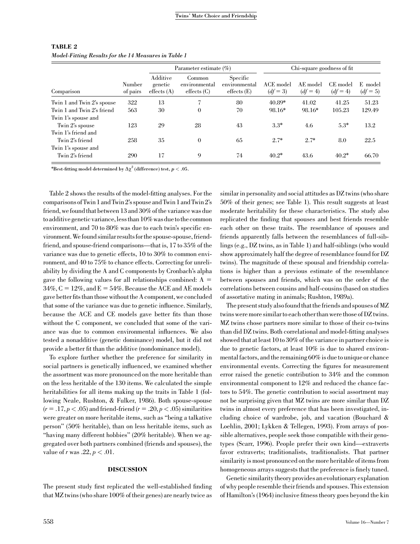| Comparison                 | Number<br>of pairs | Parameter estimate $(\% )$                   |                                                 |                                                   | Chi-square goodness of fit |                      |                      |                       |
|----------------------------|--------------------|----------------------------------------------|-------------------------------------------------|---------------------------------------------------|----------------------------|----------------------|----------------------|-----------------------|
|                            |                    | Additive<br>genetic<br>$\text{effects } (A)$ | Common<br>environmental<br>$\text{effects}$ (C) | Specific<br>environmental<br>$\text{effects}$ (E) | ACE model<br>$(df = 3)$    | AE model<br>$(df=4)$ | CE model<br>$(df=4)$ | E model<br>$(df = 5)$ |
| Twin 1 and Twin 2's spouse | 322                | 13                                           | ⇁                                               | 80                                                | $40.89*$                   | 41.02                | 41.25                | 51.23                 |
| Twin 1 and Twin 2's friend | 563                | 30                                           | $\mathbf{0}$                                    | 70                                                | 98.16*                     | 98.16*               | 105.23               | 129.49                |
| Twin 1's spouse and        |                    |                                              |                                                 |                                                   |                            |                      |                      |                       |
| Twin 2's spouse            | 123                | 29                                           | 28                                              | 43                                                | $3.3*$                     | 4.6                  | $5.3*$               | 13.2                  |
| Twin 1's friend and        |                    |                                              |                                                 |                                                   |                            |                      |                      |                       |
| Twin 2's friend            | 258                | 35                                           | $\Omega$                                        | 65                                                | $2.7*$                     | $2.7*$               | 8.0                  | 22.5                  |
| Twin 1's spouse and        |                    |                                              |                                                 |                                                   |                            |                      |                      |                       |
| Twin 2's friend            | 290                | 17                                           | 9                                               | 74                                                | $40.2*$                    | 43.6                 | $40.2*$              | 66.70                 |

#### TABLE 2 Model-Fitting Results for the 14 Measures in Table 1

\*Best-fitting model determined by  $\Delta \chi^2$  (difference) test,  $p < .05$ .

Table 2 shows the results of the model-fitting analyses. For the comparisonsof Twin1 andTwin2's spouseandTwin1 andTwin2's friend, we found that between 13 and 30% of the variance was due to additive genetic variance, less than  $10\%$  was due to the common environment, and 70 to 80% was due to each twin's specific environment.We found similarresultsforthespouse-spouse, friendfriend, and spouse-friend comparisons—that is, 17 to 35% of the variance was due to genetic effects, 10 to 30% to common environment, and 40 to 75% to chance effects. Correcting for unreliability by dividing the A and C components by Cronbach's alpha gave the following values for all relationships combined:  $A =$  $34\%, C = 12\%,$  and  $E = 54\%$ . Because the ACE and AE models gave better fits than those without the A component, we concluded that some of the variance was due to genetic influence. Similarly, because the ACE and CE models gave better fits than those without the C component, we concluded that some of the variance was due to common environmental influences. We also tested a nonadditive (genetic dominance) model, but it did not provide a better fit than the additive (nondominance model).

To explore further whether the preference for similarity in social partners is genetically influenced, we examined whether the assortment was more pronounced on the more heritable than on the less heritable of the 130 items. We calculated the simple heritabilities for all items making up the traits in Table 1 (following Neale, Rushton, & Fulker, 1986). Both spouse-spouse  $(r = .17, p < .05)$  and friend-friend  $(r = .20, p < .05)$  similarities were greater on more heritable items, such as ''being a talkative person'' (50% heritable), than on less heritable items, such as ''having many different hobbies'' (20% heritable). When we aggregated over both partners combined (friends and spouses), the value of r was  $.22, p < .01$ .

#### DISCUSSION

The present study first replicated the well-established finding that MZ twins (who share 100% of their genes) are nearly twice as

similar in personality and social attitudes as DZ twins (who share 50% of their genes; see Table 1). This result suggests at least moderate heritability for these characteristics. The study also replicated the finding that spouses and best friends resemble each other on these traits. The resemblance of spouses and friends apparently falls between the resemblances of full-siblings (e.g., DZ twins, as in Table 1) and half-siblings (who would show approximately half the degree of resemblance found for DZ twins). The magnitude of these spousal and friendship correlations is higher than a previous estimate of the resemblance between spouses and friends, which was on the order of the correlations between cousins and half-cousins (based on studies of assortative mating in animals; Rushton, 1989a).

The present study also found that the friends and spouses of MZ twins were more similar to each other than were those of DZ twins. MZ twins chose partners more similar to those of their co-twins than did DZ twins. Both correlational and model-fitting analyses showed that at least 10 to 30% of the variance in partner choice is due to genetic factors, at least 10% is due to shared environmental factors, and the remaining 60% is due to unique or chance environmental events. Correcting the figures for measurement error raised the genetic contribution to 34% and the common environmental component to 12% and reduced the chance factors to 54%. The genetic contribution to social assortment may not be surprising given that MZ twins are more similar than DZ twins in almost every preference that has been investigated, including choice of wardrobe, job, and vacation (Bouchard & Loehlin, 2001; Lykken & Tellegen, 1993). From arrays of possible alternatives, people seek those compatible with their genotypes (Scarr, 1996). People prefer their own kind—extraverts favor extraverts; traditionalists, traditionalists. That partner similarity is most pronounced on the more heritable of items from homogeneous arrays suggests that the preference is finely tuned.

Genetic similarity theory providesan evolutionary explanation of why people resemble their friends and spouses. This extension of Hamilton's (1964) inclusive fitness theory goes beyond the kin